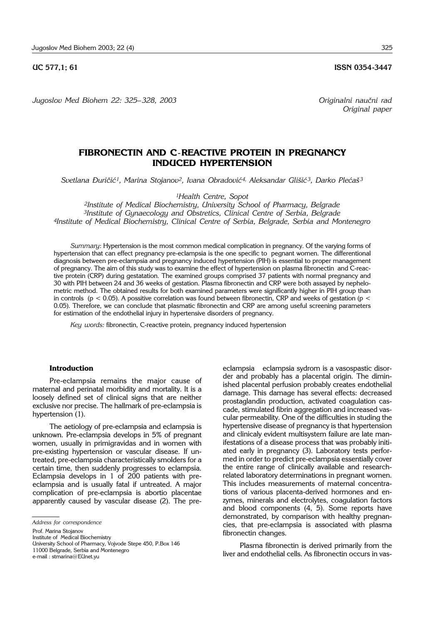**UC 577,1; 61 ISSN 0354-3447** 

*Jugoslov Med Biohem 22: 325*– *328, 2003 Originalni nau~ni rad*

# **FIBRONECTIN AND C**-**REACTIVE PROTEIN IN PREGNANCY INDUCED HYPERTENSION**

*Svetlana \uri~i}1, Marina Stojanov2, Ivana Obradovi}4, Aleksandar Gli{i} 3, Darko Ple}a{ <sup>3</sup>*

*1Health Centre, Sopot*

*2Institute of Medical Biochemistry, University School of Pharmacy, Belgrade 3Institute of Gynaecology and Obstretics, Clinical Centre of Serbia, Belgrade 4Institute of Medical Biochemistry, Clinical Centre of Serbia, Belgrade, Serbia and Montenegro*

*Summary*: Hypertension is the most common medical complication in pregnancy. Of the varying forms of hypertension that can effect pregnancy pre-eclampsia is the one specific to pegnant women. The differentional diagnosis between pre-eclampsia and pregnancy induced hypertension (PIH) is essential to proper management of pregnancy. The aim of this study was to examine the effect of hypertension on plasma fibronectin and C-reactive protein (CRP) during gestatation. The examined groups comprised 37 patients with normal pregnancy and 30 with PIH between 24 and 36 weeks of gestation. Plasma fibronectin and CRP were both assayed by nephelometric method. The obtained results for both examined parameters were significantly higher in PIH group than in controls ( $p < 0.05$ ). A possitive correlation was found between fibronectin, CRP and weeks of gestation ( $p <$ 0.05). Therefore, we can conclude that plasmatic fibronectin and CRP are among useful screening parameters for estimation of the endothelial injury in hypertensive disorders of pregnancy.

*Key words:* fibronectin, C-reactive protein, pregnancy induced hypertension

#### **Introduction**

Pre-eclampsia remains the major cause of maternal and perinatal morbidity and mortality. It is a loosely defined set of clinical signs that are neither exclusive nor precise. The hallmark of pre-eclampsia is hypertension (1).

The aetiology of pre-eclampsia and eclampsia is unknown. Pre-eclampsia develops in 5% of pregnant women, usually in primigravidas and in women with pre-existing hypertension or vascular disease. If untreated, pre-eclampsia characteristically smolders for a certain time, then suddenly progresses to eclampsia. Eclampsia develops in 1 of 200 patients with preeclampsia and is usually fatal if untreated. A major complication of pre-eclampsia is abortio placentae apparently caused by vascular disease (2). The pre-

Prof. Marina Stojanov

Institute of Medical Biochemistry

11000 Belgrade, Serbia and Montenegro

e-mail : stmarina@EUnet.yu

eclampsia eclampsia sydrom is a vasospastic disorder and probably has a placental origin. The diminished placental perfusion probably creates endothelial damage. This damage has several effects: decreased prostaglandin production, activated coagulation cascade, stimulated fibrin aggregation and increased vascular permeability. One of the difficulties in studing the hypertensive disease of pregnancy is that hypertension and clinicaly evident multisystem failure are late manifestations of a disease process that was probably initiated early in pregnancy (3). Laboratory tests performed in order to predict pre-eclampsia essentially cover the entire range of clinically available and researchrelated laboratory determinations in pregnant women. This includes measurements of maternal concentrations of various placenta-derived hormones and enzymes, minerals and electrolytes, coagulation factors and blood components (4, 5). Some reports have demonstrated, by comparison with healthy pregnancies, that pre-eclampsia is associated with plasma fibronectin changes.

Plasma fibronectin is derived primarily from the liver and endothelial cells. As fibronectin occurs in vas-

*Original paper* 

*Address for correspondence*

University School of Pharmacy, Vojvode Stepe 450, P.Box 146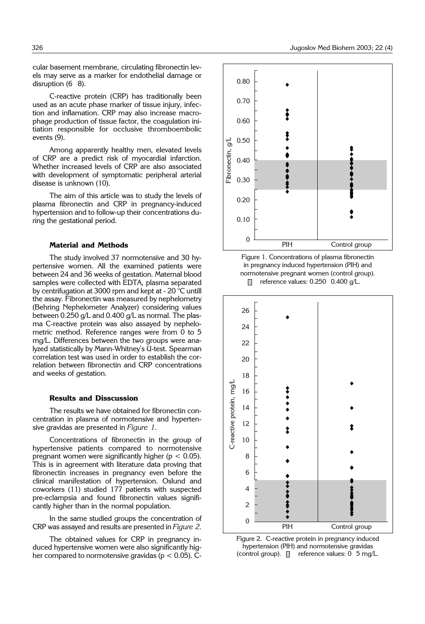cular basement membrane, circulating fibronectin levels may serve as a marker for endothelial damage or disruption  $(6 \ 8)$ .

C-reactive protein (CRP) has traditionally been used as an acute phase marker of tissue injury, infection and inflamation. CRP may also increase macrophage production of tissue factor, the coagulation initiation responsible for occlusive thromboembolic events (9).

Among apparently healthy men, elevated levels of CRP are a predict risk of myocardial infarction. Whether increased levels of CRP are also associated with development of symptomatic peripheral arterial disease is unknown (10).

The aim of this article was to study the levels of plasma fibronectin and CRP in pregnancy-induced hypertension and to follow-up their concentrations during the gestational period.

#### **Material and Methods**

The study involved 37 normotensive and 30 hypertensive women. All the examined patients were between 24 and 36 weeks of gestation. Maternal blood samples were collected with EDTA, plasma separated by centrifugation at 3000 rpm and kept at - 20 °C untill the assay. Fibronectin was measured by nephelometry (Behring Nephelometer Analyzer) considering values between 0.250  $g/L$  and 0.400  $g/L$  as normal. The plasma C-reactive protein was also assayed by nephelometric method. Reference ranges were from 0 to 5 mg/L. Differences between the two groups were analyzed statistically by Mann-Whitney's U-test. Spearman correlation test was used in order to establish the correlation between fibronectin and CRP concentrations and weeks of gestation.

## **Results and Disscussion**

The results we have obtained for fibronectin concentration in plasma of normotensive and hypertensive gravidas are presented in *Figure 1*.

Concentrations of fibronectin in the group of hypertensive patients compared to normotensive pregnant women were significantly higher ( $p < 0.05$ ). This is in agreement with literature data proving that fibronectin increases in pregnancy even before the clinical manifestation of hypertension. Oslund and coworkers (11) studied 177 patients with suspected pre-eclampsia and found fibronectin values significantly higher than in the normal population.

In the same studied groups the concentration of CRP was assayed and results are presented in *Figure 2.*

The obtained values for CRP in pregnancy induced hypertensive women were also significantly higher compared to normotensive gravidas ( $p < 0.05$ ). C-







Figure 2. C-reactive protein in pregnancy induced hypertension (PIH) and normotensive gravidas (control group).  $\Box$  reference values:  $0$  5 mg/L.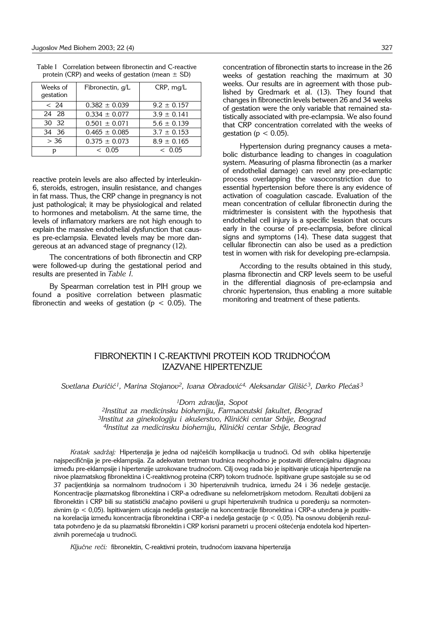| Weeks of<br>gestation | Fibronectin, g/L  | CRP, mq/L       |
|-----------------------|-------------------|-----------------|
| < 24                  | $0.382 \pm 0.039$ | $9.2 \pm 0.157$ |
| 24 28                 | $0.334 \pm 0.077$ | $3.9 \pm 0.141$ |
| 30 32                 | $0.501 \pm 0.071$ | $5.6 \pm 0.139$ |
| 34 36                 | $0.465 \pm 0.085$ | $3.7 \pm 0.153$ |
| > 36                  | $0.375 \pm 0.073$ | $8.9 \pm 0.165$ |
| D                     | < 0.05            | < 0.05          |

| Table I Correlation between fibronectin and C-reactive |  |
|--------------------------------------------------------|--|
| protein (CRP) and weeks of gestation (mean $\pm$ SD)   |  |

reactive protein levels are also affected by interleukin-6, steroids, estrogen, insulin resistance, and changes in fat mass. Thus, the CRP change in pregnancy is not just pathological; it may be physiological and related to hormones and metabolism. At the same time, the levels of inflamatory markers are not high enough to explain the massive endothelial dysfunction that causes pre-eclampsia. Elevated levels may be more dangereous at an advanced stage of pregnancy (12).

The concentrations of both fibronectin and CRP were followed-up during the gestational period and results are presented in *Table I*.

By Spearman correlation test in PIH group we found a positive correlation between plasmatic fibronectin and weeks of gestation ( $p < 0.05$ ). The concentration of fibronectin starts to increase in the 26 weeks of gestation reaching the maximum at 30 weeks. Our results are in agreement with those published by Gredmark et al. (13). They found that changes in fibronectin levels between 26 and 34 weeks of gestation were the only variable that remained statistically associated with pre-eclampsia. We also found that CRP concentration correlated with the weeks of gestation ( $p < 0.05$ ).

Hypertension during pregnancy causes a metabolic disturbance leading to changes in coagulation system. Measuring of plasma fibronectin (as a marker of endothelial damage) can revel any pre-eclamptic process overlapping the vasoconstriction due to essential hypertension before there is any evidence of activation of coagulation cascade. Evaluation of the mean concentration of cellular fibronectin during the midtrimester is consistent with the hypothesis that endothelial cell injury is a specific lession that occurs early in the course of pre-eclampsia, before clinical signs and symptoms (14). These data suggest that cellular fibronectin can also be used as a prediction test in women with risk for developing pre-eclampsia.

According to the results obtained in this study, plasma fibronectin and CRP levels seem to be useful in the differential diagnosis of pre-eclampsia and chronic hypertension, thus enabling a more suitable monitoring and treatment of these patients.

# FIBRONEKTIN I C-REAKTIVNI PROTEIN KOD TRUDNOĆOM IZAZVANE HIPERTENZIJE

*Svetlana \uri~i}1, Marina Stojanov2, Ivana Obradovi}4, Aleksandar Gli{i} 3, Darko Ple}a{ <sup>3</sup>*

*1Dom zdravlja, Sopot*

*2Institut za medicinsku biohemiju, Farmaceutski fakultet, Beograd* <sup>3</sup>Institut za ginekologiju i akušerstvo, Klinički centar Srbije, Beograd *4Institut za medicinsku biohemiju, Klini~ki centar Srbije, Beograd*

Kratak sadržaj: Hipertenzija je jedna od najčešćih komplikacija u trudnoći. Od svih oblika hipertenzije najspecifičnija je pre-eklampsija. Za adekvatan tretman trudnica neophodno je postaviti diferencijalnu dijagnozu između pre-eklampsije i hipertenzije uzrokovane trudnoćom. Cilj ovog rada bio je ispitivanje uticaja hipertenzije na nivoe plazmatskog fibronektina i C-reaktivnog proteina (CRP) tokom trudnoće. Ispitivane grupe sastojale su se od 37 pacijentkinja sa normalnom trudnoćom i 30 hipertenzivnih trudnica, između 24 i 36 nedelje gestacije. Koncentracije plazmatskog fibronektina i CRP-a određivane su nefelometrijskom metodom. Rezultati dobijeni za fibronektin i CRP bili su statistički značajno povišeni u grupi hipertenzivnih trudnica u poređenju sa normotenzivnim ( $p < 0.05$ ). Ispitivanjem uticaja nedelja gestacije na koncentracije fibronektina i CRP-a utvrđena je pozitivna korelacija između koncentracija fibronektina i CRP-a i nedelja gestacije (p < 0,05). Na osnovu dobijenih rezultata potvrđeno je da su plazmatski fibronektin i CRP korisni parametri u proceni oštećenja endotela kod hipertenzivnih poremećaja u trudnoći.

Ključne reči: fibronektin, C-reaktivni protein, trudnoćom izazvana hipertenzija